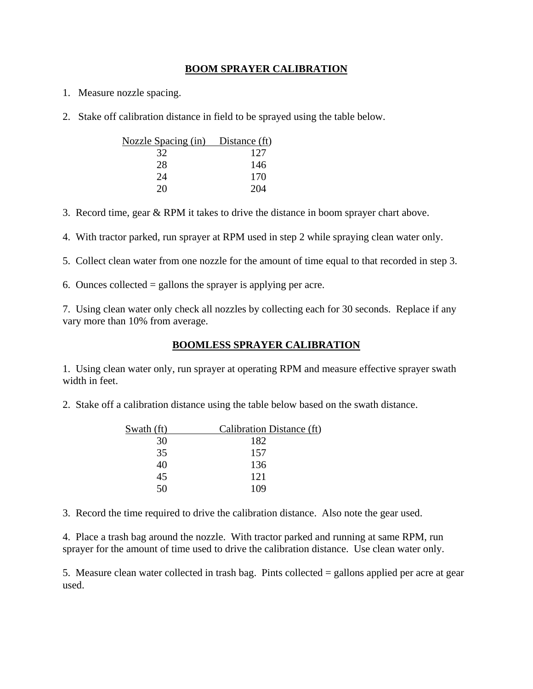## **BOOM SPRAYER CALIBRATION**

- 1. Measure nozzle spacing.
- 2. Stake off calibration distance in field to be sprayed using the table below.

| Nozzle Spacing (in) Distance (ft) |                  |
|-----------------------------------|------------------|
| 32                                | 127              |
| 28                                | 146              |
| 24                                | 170              |
| 20.                               | $\mathcal{O}(1)$ |

3. Record time, gear & RPM it takes to drive the distance in boom sprayer chart above.

4. With tractor parked, run sprayer at RPM used in step 2 while spraying clean water only.

5. Collect clean water from one nozzle for the amount of time equal to that recorded in step 3.

6. Ounces collected  $=$  gallons the sprayer is applying per acre.

7. Using clean water only check all nozzles by collecting each for 30 seconds. Replace if any vary more than 10% from average.

## **BOOMLESS SPRAYER CALIBRATION**

1. Using clean water only, run sprayer at operating RPM and measure effective sprayer swath width in feet.

2. Stake off a calibration distance using the table below based on the swath distance.

| Swath (ft) | Calibration Distance (ft) |
|------------|---------------------------|
| 30         | 182                       |
| 35         | 157                       |
| 40         | 136                       |
| 45         | 121                       |
| 50         | 109                       |

3. Record the time required to drive the calibration distance. Also note the gear used.

4. Place a trash bag around the nozzle. With tractor parked and running at same RPM, run sprayer for the amount of time used to drive the calibration distance. Use clean water only.

5. Measure clean water collected in trash bag. Pints collected = gallons applied per acre at gear used.